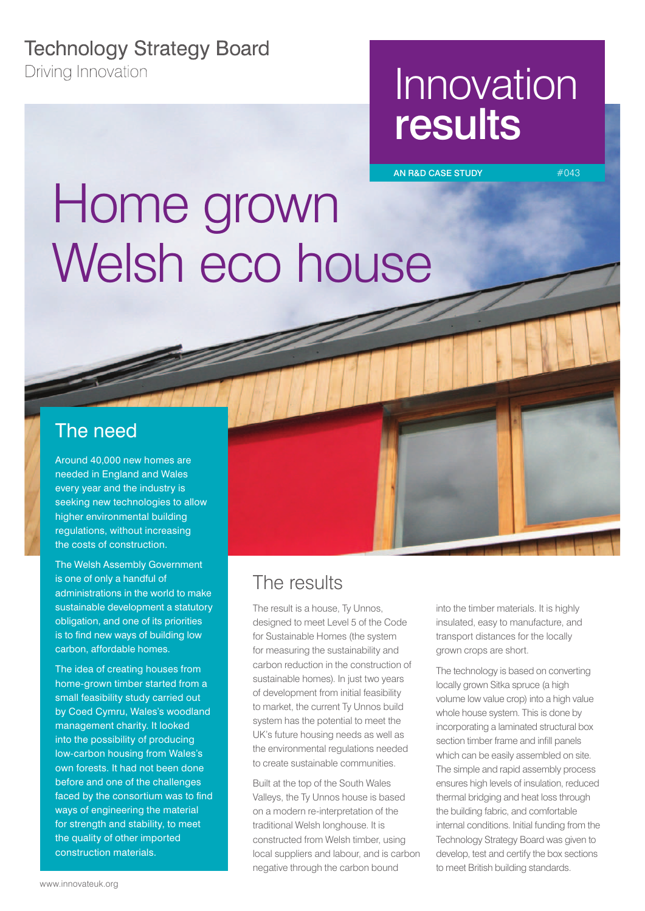## **Technology Strategy Board**

**Driving Innovation** 

## Innovation results

AN R&D CASE STUDY #043

# Home grown Welsh eco house

<u>establica</u>

#### The need

Around 40,000 new homes are needed in England and Wales every year and the industry is seeking new technologies to allow higher environmental building regulations, without increasing the costs of construction.

The Welsh Assembly Government is one of only a handful of administrations in the world to make sustainable development a statutory obligation, and one of its priorities is to find new ways of building low carbon, affordable homes.

The idea of creating houses from home-grown timber started from a small feasibility study carried out by Coed Cymru, Wales's woodland management charity. It looked into the possibility of producing low-carbon housing from Wales's own forests. It had not been done before and one of the challenges faced by the consortium was to find ways of engineering the material for strength and stability, to meet the quality of other imported construction materials.

## The results

The result is a house, Ty Unnos, designed to meet Level 5 of the Code for Sustainable Homes (the system for measuring the sustainability and carbon reduction in the construction of sustainable homes). In just two years of development from initial feasibility to market, the current Ty Unnos build system has the potential to meet the UK's future housing needs as well as the environmental regulations needed to create sustainable communities.

Built at the top of the South Wales Valleys, the Ty Unnos house is based on a modern re-interpretation of the traditional Welsh longhouse. It is constructed from Welsh timber, using local suppliers and labour, and is carbon negative through the carbon bound

into the timber materials. It is highly insulated, easy to manufacture, and transport distances for the locally grown crops are short.

The technology is based on converting locally grown Sitka spruce (a high volume low value crop) into a high value whole house system. This is done by incorporating a laminated structural box section timber frame and infill panels which can be easily assembled on site. The simple and rapid assembly process ensures high levels of insulation, reduced thermal bridging and heat loss through the building fabric, and comfortable internal conditions. Initial funding from the Technology Strategy Board was given to develop, test and certify the box sections to meet British building standards.